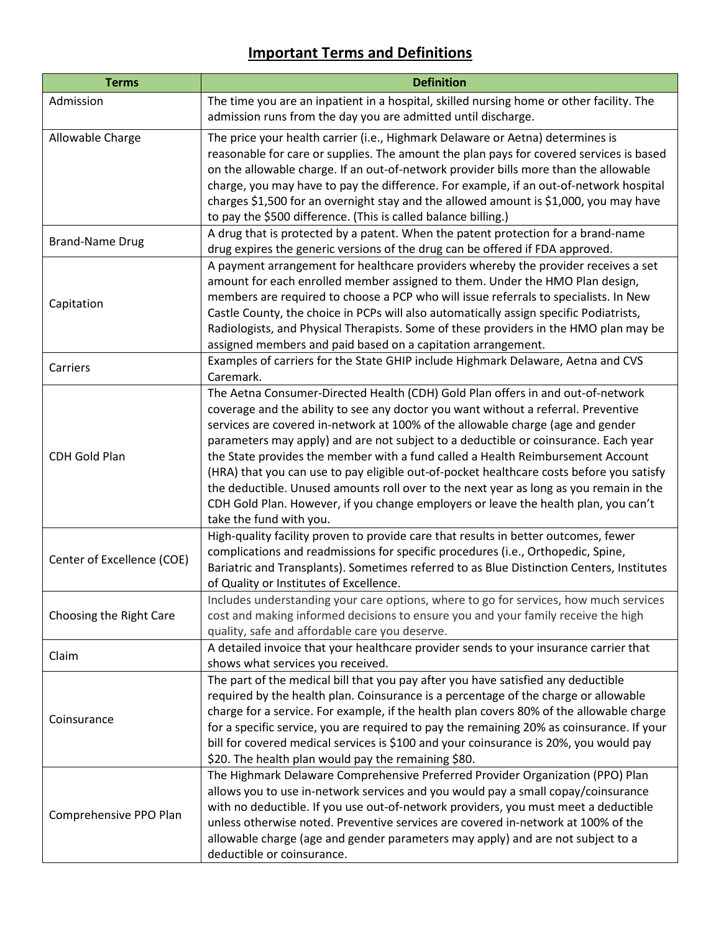## **Important Terms and Definitions**

| <b>Terms</b>               | <b>Definition</b>                                                                         |
|----------------------------|-------------------------------------------------------------------------------------------|
| Admission                  | The time you are an inpatient in a hospital, skilled nursing home or other facility. The  |
|                            | admission runs from the day you are admitted until discharge.                             |
| Allowable Charge           | The price your health carrier (i.e., Highmark Delaware or Aetna) determines is            |
|                            | reasonable for care or supplies. The amount the plan pays for covered services is based   |
|                            | on the allowable charge. If an out-of-network provider bills more than the allowable      |
|                            | charge, you may have to pay the difference. For example, if an out-of-network hospital    |
|                            | charges \$1,500 for an overnight stay and the allowed amount is \$1,000, you may have     |
|                            | to pay the \$500 difference. (This is called balance billing.)                            |
|                            | A drug that is protected by a patent. When the patent protection for a brand-name         |
| <b>Brand-Name Drug</b>     | drug expires the generic versions of the drug can be offered if FDA approved.             |
|                            | A payment arrangement for healthcare providers whereby the provider receives a set        |
|                            | amount for each enrolled member assigned to them. Under the HMO Plan design,              |
|                            | members are required to choose a PCP who will issue referrals to specialists. In New      |
| Capitation                 | Castle County, the choice in PCPs will also automatically assign specific Podiatrists,    |
|                            | Radiologists, and Physical Therapists. Some of these providers in the HMO plan may be     |
|                            | assigned members and paid based on a capitation arrangement.                              |
| Carriers                   | Examples of carriers for the State GHIP include Highmark Delaware, Aetna and CVS          |
|                            | Caremark.                                                                                 |
|                            | The Aetna Consumer-Directed Health (CDH) Gold Plan offers in and out-of-network           |
|                            | coverage and the ability to see any doctor you want without a referral. Preventive        |
|                            | services are covered in-network at 100% of the allowable charge (age and gender           |
|                            | parameters may apply) and are not subject to a deductible or coinsurance. Each year       |
| CDH Gold Plan              | the State provides the member with a fund called a Health Reimbursement Account           |
|                            | (HRA) that you can use to pay eligible out-of-pocket healthcare costs before you satisfy  |
|                            | the deductible. Unused amounts roll over to the next year as long as you remain in the    |
|                            | CDH Gold Plan. However, if you change employers or leave the health plan, you can't       |
|                            | take the fund with you.                                                                   |
|                            | High-quality facility proven to provide care that results in better outcomes, fewer       |
| Center of Excellence (COE) | complications and readmissions for specific procedures (i.e., Orthopedic, Spine,          |
|                            | Bariatric and Transplants). Sometimes referred to as Blue Distinction Centers, Institutes |
|                            | of Quality or Institutes of Excellence.                                                   |
|                            | Includes understanding your care options, where to go for services, how much services     |
| Choosing the Right Care    | cost and making informed decisions to ensure you and your family receive the high         |
|                            | quality, safe and affordable care you deserve.                                            |
| Claim                      | A detailed invoice that your healthcare provider sends to your insurance carrier that     |
|                            | shows what services you received.                                                         |
|                            | The part of the medical bill that you pay after you have satisfied any deductible         |
|                            | required by the health plan. Coinsurance is a percentage of the charge or allowable       |
| Coinsurance                | charge for a service. For example, if the health plan covers 80% of the allowable charge  |
|                            | for a specific service, you are required to pay the remaining 20% as coinsurance. If your |
|                            | bill for covered medical services is \$100 and your coinsurance is 20%, you would pay     |
|                            | \$20. The health plan would pay the remaining \$80.                                       |
| Comprehensive PPO Plan     | The Highmark Delaware Comprehensive Preferred Provider Organization (PPO) Plan            |
|                            | allows you to use in-network services and you would pay a small copay/coinsurance         |
|                            | with no deductible. If you use out-of-network providers, you must meet a deductible       |
|                            | unless otherwise noted. Preventive services are covered in-network at 100% of the         |
|                            | allowable charge (age and gender parameters may apply) and are not subject to a           |
|                            | deductible or coinsurance.                                                                |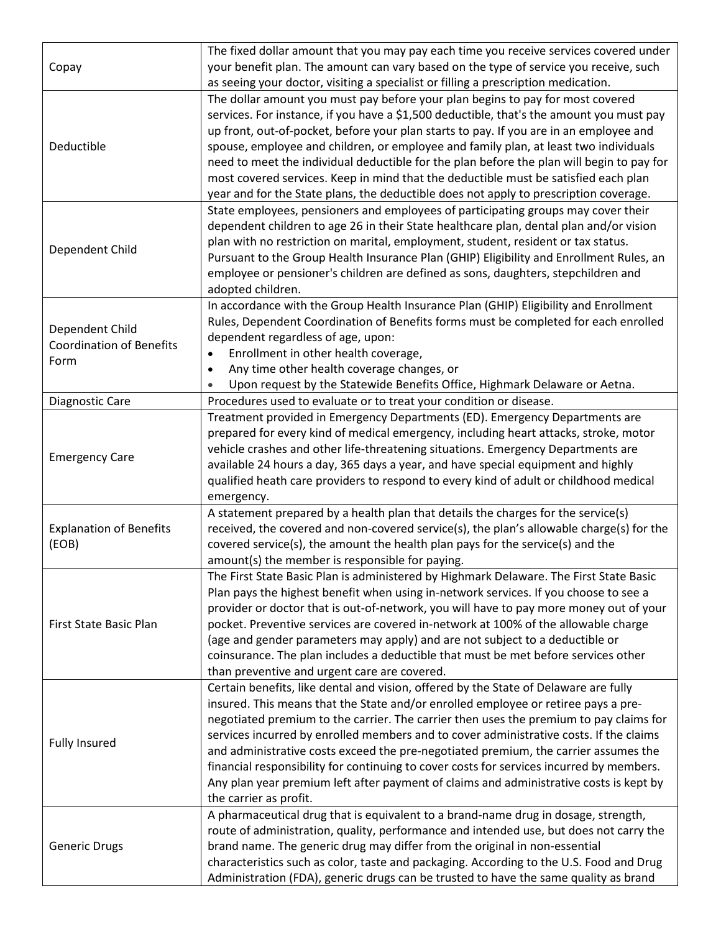|                                 | The fixed dollar amount that you may pay each time you receive services covered under     |
|---------------------------------|-------------------------------------------------------------------------------------------|
| Copay                           | your benefit plan. The amount can vary based on the type of service you receive, such     |
|                                 | as seeing your doctor, visiting a specialist or filling a prescription medication.        |
|                                 | The dollar amount you must pay before your plan begins to pay for most covered            |
|                                 | services. For instance, if you have a \$1,500 deductible, that's the amount you must pay  |
|                                 | up front, out-of-pocket, before your plan starts to pay. If you are in an employee and    |
| Deductible                      | spouse, employee and children, or employee and family plan, at least two individuals      |
|                                 | need to meet the individual deductible for the plan before the plan will begin to pay for |
|                                 | most covered services. Keep in mind that the deductible must be satisfied each plan       |
|                                 | year and for the State plans, the deductible does not apply to prescription coverage.     |
|                                 | State employees, pensioners and employees of participating groups may cover their         |
| Dependent Child                 | dependent children to age 26 in their State healthcare plan, dental plan and/or vision    |
|                                 | plan with no restriction on marital, employment, student, resident or tax status.         |
|                                 | Pursuant to the Group Health Insurance Plan (GHIP) Eligibility and Enrollment Rules, an   |
|                                 | employee or pensioner's children are defined as sons, daughters, stepchildren and         |
|                                 | adopted children.                                                                         |
|                                 | In accordance with the Group Health Insurance Plan (GHIP) Eligibility and Enrollment      |
| Dependent Child                 | Rules, Dependent Coordination of Benefits forms must be completed for each enrolled       |
| <b>Coordination of Benefits</b> | dependent regardless of age, upon:                                                        |
|                                 | Enrollment in other health coverage,<br>$\bullet$                                         |
| Form                            | Any time other health coverage changes, or<br>$\bullet$                                   |
|                                 | Upon request by the Statewide Benefits Office, Highmark Delaware or Aetna.                |
| Diagnostic Care                 | Procedures used to evaluate or to treat your condition or disease.                        |
|                                 | Treatment provided in Emergency Departments (ED). Emergency Departments are               |
|                                 | prepared for every kind of medical emergency, including heart attacks, stroke, motor      |
|                                 | vehicle crashes and other life-threatening situations. Emergency Departments are          |
| <b>Emergency Care</b>           | available 24 hours a day, 365 days a year, and have special equipment and highly          |
|                                 | qualified heath care providers to respond to every kind of adult or childhood medical     |
|                                 | emergency.                                                                                |
|                                 | A statement prepared by a health plan that details the charges for the service(s)         |
| <b>Explanation of Benefits</b>  | received, the covered and non-covered service(s), the plan's allowable charge(s) for the  |
| (EOB)                           | covered service(s), the amount the health plan pays for the service(s) and the            |
|                                 | amount(s) the member is responsible for paying.                                           |
|                                 | The First State Basic Plan is administered by Highmark Delaware. The First State Basic    |
|                                 | Plan pays the highest benefit when using in-network services. If you choose to see a      |
|                                 | provider or doctor that is out-of-network, you will have to pay more money out of your    |
| First State Basic Plan          | pocket. Preventive services are covered in-network at 100% of the allowable charge        |
|                                 | (age and gender parameters may apply) and are not subject to a deductible or              |
|                                 | coinsurance. The plan includes a deductible that must be met before services other        |
|                                 | than preventive and urgent care are covered.                                              |
|                                 | Certain benefits, like dental and vision, offered by the State of Delaware are fully      |
|                                 | insured. This means that the State and/or enrolled employee or retiree pays a pre-        |
|                                 | negotiated premium to the carrier. The carrier then uses the premium to pay claims for    |
|                                 | services incurred by enrolled members and to cover administrative costs. If the claims    |
| <b>Fully Insured</b>            | and administrative costs exceed the pre-negotiated premium, the carrier assumes the       |
|                                 | financial responsibility for continuing to cover costs for services incurred by members.  |
|                                 | Any plan year premium left after payment of claims and administrative costs is kept by    |
|                                 | the carrier as profit.                                                                    |
|                                 | A pharmaceutical drug that is equivalent to a brand-name drug in dosage, strength,        |
|                                 | route of administration, quality, performance and intended use, but does not carry the    |
| <b>Generic Drugs</b>            | brand name. The generic drug may differ from the original in non-essential                |
|                                 | characteristics such as color, taste and packaging. According to the U.S. Food and Drug   |
|                                 | Administration (FDA), generic drugs can be trusted to have the same quality as brand      |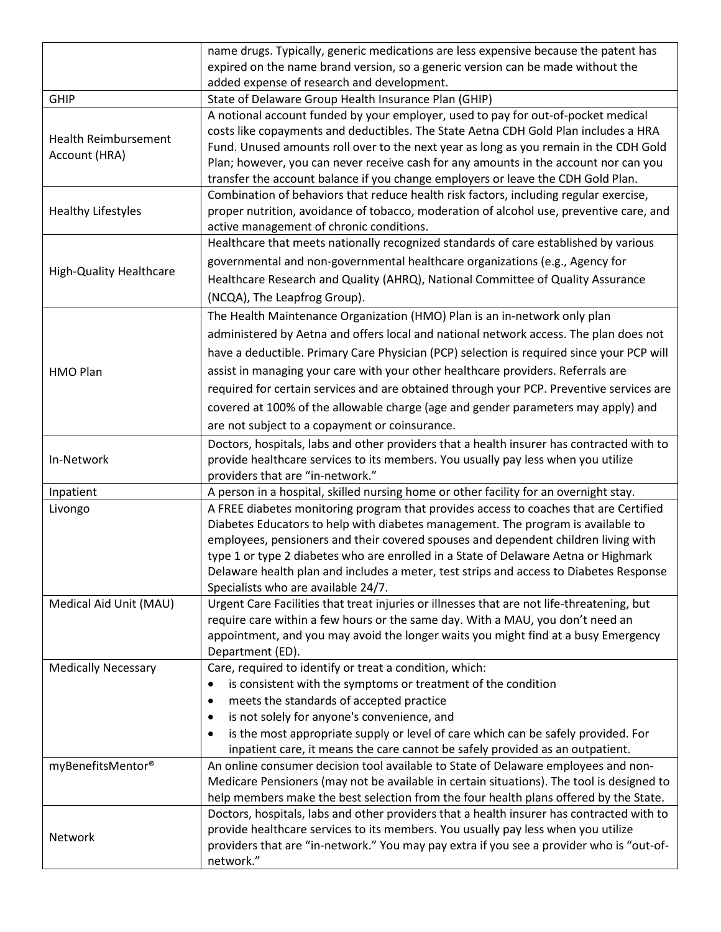|                                              | name drugs. Typically, generic medications are less expensive because the patent has<br>expired on the name brand version, so a generic version can be made without the                                                                                                                                                                                                                                                                                                                                                                                                                |
|----------------------------------------------|----------------------------------------------------------------------------------------------------------------------------------------------------------------------------------------------------------------------------------------------------------------------------------------------------------------------------------------------------------------------------------------------------------------------------------------------------------------------------------------------------------------------------------------------------------------------------------------|
|                                              | added expense of research and development.                                                                                                                                                                                                                                                                                                                                                                                                                                                                                                                                             |
| <b>GHIP</b>                                  | State of Delaware Group Health Insurance Plan (GHIP)                                                                                                                                                                                                                                                                                                                                                                                                                                                                                                                                   |
| <b>Health Reimbursement</b><br>Account (HRA) | A notional account funded by your employer, used to pay for out-of-pocket medical<br>costs like copayments and deductibles. The State Aetna CDH Gold Plan includes a HRA<br>Fund. Unused amounts roll over to the next year as long as you remain in the CDH Gold<br>Plan; however, you can never receive cash for any amounts in the account nor can you<br>transfer the account balance if you change employers or leave the CDH Gold Plan.                                                                                                                                          |
| <b>Healthy Lifestyles</b>                    | Combination of behaviors that reduce health risk factors, including regular exercise,<br>proper nutrition, avoidance of tobacco, moderation of alcohol use, preventive care, and<br>active management of chronic conditions.                                                                                                                                                                                                                                                                                                                                                           |
| <b>High-Quality Healthcare</b>               | Healthcare that meets nationally recognized standards of care established by various<br>governmental and non-governmental healthcare organizations (e.g., Agency for<br>Healthcare Research and Quality (AHRQ), National Committee of Quality Assurance<br>(NCQA), The Leapfrog Group).                                                                                                                                                                                                                                                                                                |
| HMO Plan                                     | The Health Maintenance Organization (HMO) Plan is an in-network only plan<br>administered by Aetna and offers local and national network access. The plan does not<br>have a deductible. Primary Care Physician (PCP) selection is required since your PCP will<br>assist in managing your care with your other healthcare providers. Referrals are<br>required for certain services and are obtained through your PCP. Preventive services are<br>covered at 100% of the allowable charge (age and gender parameters may apply) and<br>are not subject to a copayment or coinsurance. |
| In-Network                                   | Doctors, hospitals, labs and other providers that a health insurer has contracted with to<br>provide healthcare services to its members. You usually pay less when you utilize<br>providers that are "in-network."                                                                                                                                                                                                                                                                                                                                                                     |
| Inpatient                                    | A person in a hospital, skilled nursing home or other facility for an overnight stay.                                                                                                                                                                                                                                                                                                                                                                                                                                                                                                  |
| Livongo                                      | A FREE diabetes monitoring program that provides access to coaches that are Certified<br>Diabetes Educators to help with diabetes management. The program is available to<br>employees, pensioners and their covered spouses and dependent children living with<br>type 1 or type 2 diabetes who are enrolled in a State of Delaware Aetna or Highmark<br>Delaware health plan and includes a meter, test strips and access to Diabetes Response<br>Specialists who are available 24/7.                                                                                                |
| Medical Aid Unit (MAU)                       | Urgent Care Facilities that treat injuries or illnesses that are not life-threatening, but<br>require care within a few hours or the same day. With a MAU, you don't need an<br>appointment, and you may avoid the longer waits you might find at a busy Emergency<br>Department (ED).                                                                                                                                                                                                                                                                                                 |
| <b>Medically Necessary</b>                   | Care, required to identify or treat a condition, which:<br>is consistent with the symptoms or treatment of the condition<br>٠<br>meets the standards of accepted practice<br>$\bullet$<br>is not solely for anyone's convenience, and<br>$\bullet$<br>is the most appropriate supply or level of care which can be safely provided. For<br>$\bullet$<br>inpatient care, it means the care cannot be safely provided as an outpatient.                                                                                                                                                  |
| myBenefitsMentor®                            | An online consumer decision tool available to State of Delaware employees and non-<br>Medicare Pensioners (may not be available in certain situations). The tool is designed to<br>help members make the best selection from the four health plans offered by the State.                                                                                                                                                                                                                                                                                                               |
| Network                                      | Doctors, hospitals, labs and other providers that a health insurer has contracted with to<br>provide healthcare services to its members. You usually pay less when you utilize<br>providers that are "in-network." You may pay extra if you see a provider who is "out-of-<br>network."                                                                                                                                                                                                                                                                                                |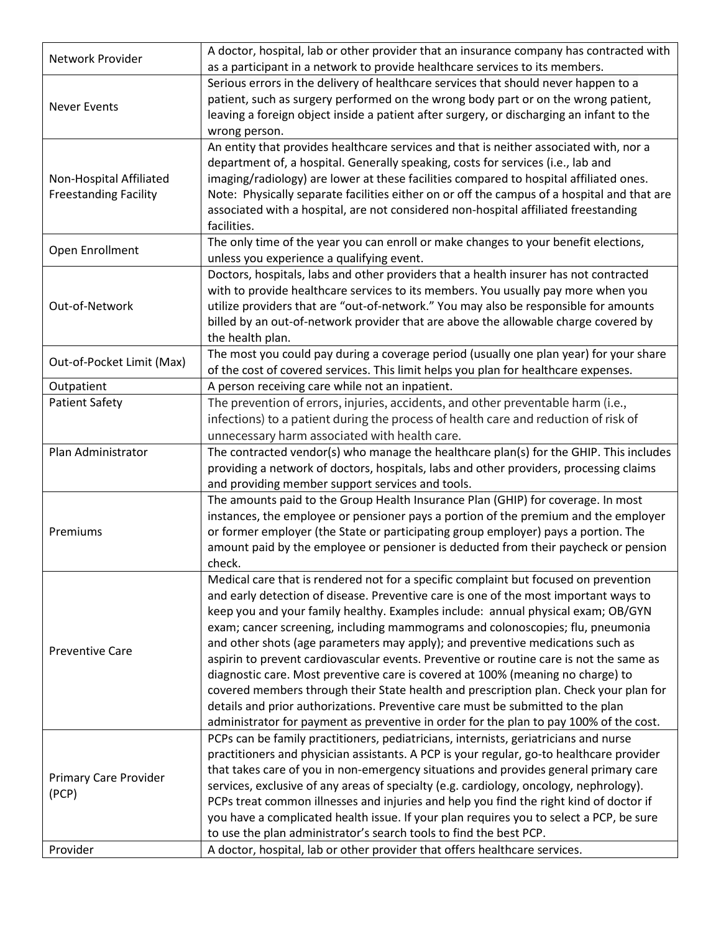| Network Provider                                        | A doctor, hospital, lab or other provider that an insurance company has contracted with<br>as a participant in a network to provide healthcare services to its members.                                                                                                                                                                                                                                                                                                                                                                                                                                                                                                                                                                                                                                                                                                                  |
|---------------------------------------------------------|------------------------------------------------------------------------------------------------------------------------------------------------------------------------------------------------------------------------------------------------------------------------------------------------------------------------------------------------------------------------------------------------------------------------------------------------------------------------------------------------------------------------------------------------------------------------------------------------------------------------------------------------------------------------------------------------------------------------------------------------------------------------------------------------------------------------------------------------------------------------------------------|
| <b>Never Events</b>                                     | Serious errors in the delivery of healthcare services that should never happen to a<br>patient, such as surgery performed on the wrong body part or on the wrong patient,<br>leaving a foreign object inside a patient after surgery, or discharging an infant to the<br>wrong person.                                                                                                                                                                                                                                                                                                                                                                                                                                                                                                                                                                                                   |
| Non-Hospital Affiliated<br><b>Freestanding Facility</b> | An entity that provides healthcare services and that is neither associated with, nor a<br>department of, a hospital. Generally speaking, costs for services (i.e., lab and<br>imaging/radiology) are lower at these facilities compared to hospital affiliated ones.<br>Note: Physically separate facilities either on or off the campus of a hospital and that are<br>associated with a hospital, are not considered non-hospital affiliated freestanding<br>facilities.                                                                                                                                                                                                                                                                                                                                                                                                                |
| Open Enrollment                                         | The only time of the year you can enroll or make changes to your benefit elections,<br>unless you experience a qualifying event.                                                                                                                                                                                                                                                                                                                                                                                                                                                                                                                                                                                                                                                                                                                                                         |
| Out-of-Network                                          | Doctors, hospitals, labs and other providers that a health insurer has not contracted<br>with to provide healthcare services to its members. You usually pay more when you<br>utilize providers that are "out-of-network." You may also be responsible for amounts<br>billed by an out-of-network provider that are above the allowable charge covered by<br>the health plan.                                                                                                                                                                                                                                                                                                                                                                                                                                                                                                            |
| Out-of-Pocket Limit (Max)                               | The most you could pay during a coverage period (usually one plan year) for your share<br>of the cost of covered services. This limit helps you plan for healthcare expenses.                                                                                                                                                                                                                                                                                                                                                                                                                                                                                                                                                                                                                                                                                                            |
| Outpatient                                              | A person receiving care while not an inpatient.                                                                                                                                                                                                                                                                                                                                                                                                                                                                                                                                                                                                                                                                                                                                                                                                                                          |
| <b>Patient Safety</b>                                   | The prevention of errors, injuries, accidents, and other preventable harm (i.e.,<br>infections) to a patient during the process of health care and reduction of risk of<br>unnecessary harm associated with health care.                                                                                                                                                                                                                                                                                                                                                                                                                                                                                                                                                                                                                                                                 |
| Plan Administrator                                      | The contracted vendor(s) who manage the healthcare plan(s) for the GHIP. This includes<br>providing a network of doctors, hospitals, labs and other providers, processing claims<br>and providing member support services and tools.                                                                                                                                                                                                                                                                                                                                                                                                                                                                                                                                                                                                                                                     |
| Premiums                                                | The amounts paid to the Group Health Insurance Plan (GHIP) for coverage. In most<br>instances, the employee or pensioner pays a portion of the premium and the employer<br>or former employer (the State or participating group employer) pays a portion. The<br>amount paid by the employee or pensioner is deducted from their paycheck or pension<br>check.                                                                                                                                                                                                                                                                                                                                                                                                                                                                                                                           |
| <b>Preventive Care</b>                                  | Medical care that is rendered not for a specific complaint but focused on prevention<br>and early detection of disease. Preventive care is one of the most important ways to<br>keep you and your family healthy. Examples include: annual physical exam; OB/GYN<br>exam; cancer screening, including mammograms and colonoscopies; flu, pneumonia<br>and other shots (age parameters may apply); and preventive medications such as<br>aspirin to prevent cardiovascular events. Preventive or routine care is not the same as<br>diagnostic care. Most preventive care is covered at 100% (meaning no charge) to<br>covered members through their State health and prescription plan. Check your plan for<br>details and prior authorizations. Preventive care must be submitted to the plan<br>administrator for payment as preventive in order for the plan to pay 100% of the cost. |
| Primary Care Provider<br>(PCP)<br>Provider              | PCPs can be family practitioners, pediatricians, internists, geriatricians and nurse<br>practitioners and physician assistants. A PCP is your regular, go-to healthcare provider<br>that takes care of you in non-emergency situations and provides general primary care<br>services, exclusive of any areas of specialty (e.g. cardiology, oncology, nephrology).<br>PCPs treat common illnesses and injuries and help you find the right kind of doctor if<br>you have a complicated health issue. If your plan requires you to select a PCP, be sure<br>to use the plan administrator's search tools to find the best PCP.<br>A doctor, hospital, lab or other provider that offers healthcare services.                                                                                                                                                                              |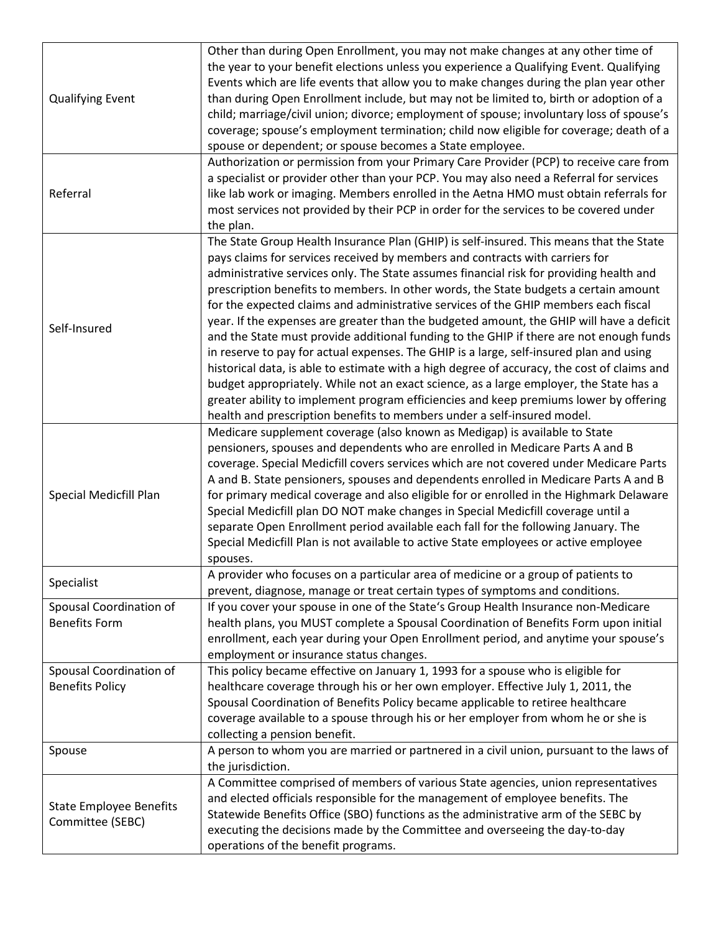| <b>Qualifying Event</b>                            | Other than during Open Enrollment, you may not make changes at any other time of<br>the year to your benefit elections unless you experience a Qualifying Event. Qualifying<br>Events which are life events that allow you to make changes during the plan year other<br>than during Open Enrollment include, but may not be limited to, birth or adoption of a<br>child; marriage/civil union; divorce; employment of spouse; involuntary loss of spouse's<br>coverage; spouse's employment termination; child now eligible for coverage; death of a<br>spouse or dependent; or spouse becomes a State employee.<br>Authorization or permission from your Primary Care Provider (PCP) to receive care from                                                                                                                                                                                                                                                                                                                                                                                      |
|----------------------------------------------------|--------------------------------------------------------------------------------------------------------------------------------------------------------------------------------------------------------------------------------------------------------------------------------------------------------------------------------------------------------------------------------------------------------------------------------------------------------------------------------------------------------------------------------------------------------------------------------------------------------------------------------------------------------------------------------------------------------------------------------------------------------------------------------------------------------------------------------------------------------------------------------------------------------------------------------------------------------------------------------------------------------------------------------------------------------------------------------------------------|
| Referral                                           | a specialist or provider other than your PCP. You may also need a Referral for services<br>like lab work or imaging. Members enrolled in the Aetna HMO must obtain referrals for<br>most services not provided by their PCP in order for the services to be covered under<br>the plan.                                                                                                                                                                                                                                                                                                                                                                                                                                                                                                                                                                                                                                                                                                                                                                                                           |
| Self-Insured                                       | The State Group Health Insurance Plan (GHIP) is self-insured. This means that the State<br>pays claims for services received by members and contracts with carriers for<br>administrative services only. The State assumes financial risk for providing health and<br>prescription benefits to members. In other words, the State budgets a certain amount<br>for the expected claims and administrative services of the GHIP members each fiscal<br>year. If the expenses are greater than the budgeted amount, the GHIP will have a deficit<br>and the State must provide additional funding to the GHIP if there are not enough funds<br>in reserve to pay for actual expenses. The GHIP is a large, self-insured plan and using<br>historical data, is able to estimate with a high degree of accuracy, the cost of claims and<br>budget appropriately. While not an exact science, as a large employer, the State has a<br>greater ability to implement program efficiencies and keep premiums lower by offering<br>health and prescription benefits to members under a self-insured model. |
| Special Medicfill Plan                             | Medicare supplement coverage (also known as Medigap) is available to State<br>pensioners, spouses and dependents who are enrolled in Medicare Parts A and B<br>coverage. Special Medicfill covers services which are not covered under Medicare Parts<br>A and B. State pensioners, spouses and dependents enrolled in Medicare Parts A and B<br>for primary medical coverage and also eligible for or enrolled in the Highmark Delaware<br>Special Medicfill plan DO NOT make changes in Special Medicfill coverage until a<br>separate Open Enrollment period available each fall for the following January. The<br>Special Medicfill Plan is not available to active State employees or active employee<br>spouses.                                                                                                                                                                                                                                                                                                                                                                           |
| Specialist                                         | A provider who focuses on a particular area of medicine or a group of patients to<br>prevent, diagnose, manage or treat certain types of symptoms and conditions.                                                                                                                                                                                                                                                                                                                                                                                                                                                                                                                                                                                                                                                                                                                                                                                                                                                                                                                                |
| Spousal Coordination of<br><b>Benefits Form</b>    | If you cover your spouse in one of the State's Group Health Insurance non-Medicare<br>health plans, you MUST complete a Spousal Coordination of Benefits Form upon initial<br>enrollment, each year during your Open Enrollment period, and anytime your spouse's<br>employment or insurance status changes.                                                                                                                                                                                                                                                                                                                                                                                                                                                                                                                                                                                                                                                                                                                                                                                     |
| Spousal Coordination of<br><b>Benefits Policy</b>  | This policy became effective on January 1, 1993 for a spouse who is eligible for<br>healthcare coverage through his or her own employer. Effective July 1, 2011, the<br>Spousal Coordination of Benefits Policy became applicable to retiree healthcare<br>coverage available to a spouse through his or her employer from whom he or she is<br>collecting a pension benefit.                                                                                                                                                                                                                                                                                                                                                                                                                                                                                                                                                                                                                                                                                                                    |
| Spouse                                             | A person to whom you are married or partnered in a civil union, pursuant to the laws of<br>the jurisdiction.                                                                                                                                                                                                                                                                                                                                                                                                                                                                                                                                                                                                                                                                                                                                                                                                                                                                                                                                                                                     |
| <b>State Employee Benefits</b><br>Committee (SEBC) | A Committee comprised of members of various State agencies, union representatives<br>and elected officials responsible for the management of employee benefits. The<br>Statewide Benefits Office (SBO) functions as the administrative arm of the SEBC by<br>executing the decisions made by the Committee and overseeing the day-to-day<br>operations of the benefit programs.                                                                                                                                                                                                                                                                                                                                                                                                                                                                                                                                                                                                                                                                                                                  |